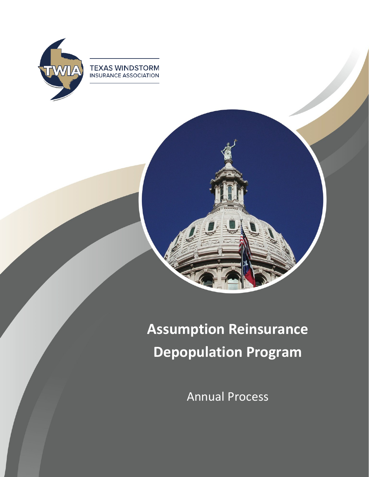

**TEXAS WINDSTORM**<br>INSURANCE ASSOCIATION



# **Assumption Reinsurance Depopulation Program**

Annual Process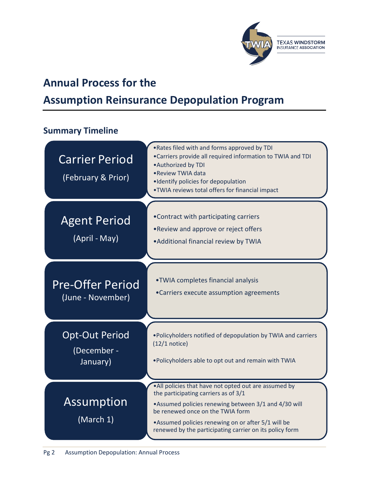

# **Annual Process for the**

# **Assumption Reinsurance Depopulation Program**

#### **Summary Timeline**

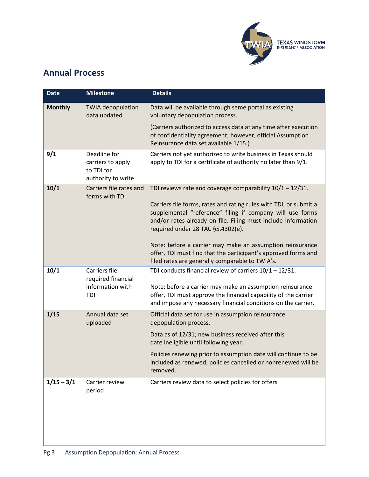

## **Annual Process**

| <b>Date</b>    | <b>Milestone</b>                                                      | <b>Details</b>                                                                                                                                                                                                                       |
|----------------|-----------------------------------------------------------------------|--------------------------------------------------------------------------------------------------------------------------------------------------------------------------------------------------------------------------------------|
| <b>Monthly</b> | <b>TWIA</b> depopulation<br>data updated                              | Data will be available through same portal as existing<br>voluntary depopulation process.                                                                                                                                            |
|                |                                                                       | (Carriers authorized to access data at any time after execution<br>of confidentiality agreement; however, official Assumption<br>Reinsurance data set available 1/15.)                                                               |
| 9/1            | Deadline for<br>carriers to apply<br>to TDI for<br>authority to write | Carriers not yet authorized to write business in Texas should<br>apply to TDI for a certificate of authority no later than 9/1.                                                                                                      |
| 10/1           | Carriers file rates and<br>forms with TDI                             | TDI reviews rate and coverage comparability $10/1 - 12/31$ .                                                                                                                                                                         |
|                |                                                                       | Carriers file forms, rates and rating rules with TDI, or submit a<br>supplemental "reference" filing if company will use forms<br>and/or rates already on file. Filing must include information<br>required under 28 TAC §5.4302(e). |
|                |                                                                       | Note: before a carrier may make an assumption reinsurance<br>offer, TDI must find that the participant's approved forms and<br>filed rates are generally comparable to TWIA's.                                                       |
| 10/1           | Carriers file<br>required financial                                   | TDI conducts financial review of carriers $10/1 - 12/31$ .                                                                                                                                                                           |
|                | information with<br>TDI                                               | Note: before a carrier may make an assumption reinsurance<br>offer, TDI must approve the financial capability of the carrier<br>and impose any necessary financial conditions on the carrier.                                        |
| 1/15           | Annual data set<br>uploaded                                           | Official data set for use in assumption reinsurance<br>depopulation process.                                                                                                                                                         |
|                |                                                                       | Data as of 12/31; new business received after this<br>date ineligible until following year.                                                                                                                                          |
|                |                                                                       | Policies renewing prior to assumption date will continue to be<br>included as renewed; policies cancelled or nonrenewed will be<br>removed.                                                                                          |
| $1/15 - 3/1$   | Carrier review<br>period                                              | Carriers review data to select policies for offers                                                                                                                                                                                   |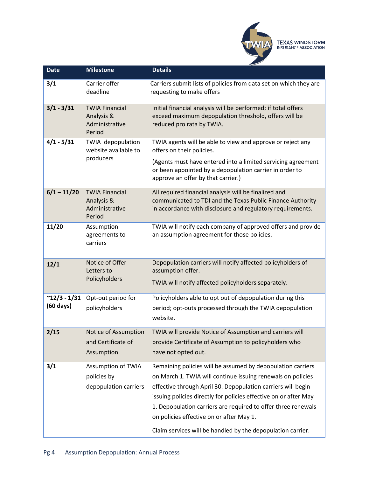

| <b>Date</b>                           | <b>Milestone</b>                                                  | <b>Details</b>                                                                                                                                                                                                                                                                                                                                                                                                                             |
|---------------------------------------|-------------------------------------------------------------------|--------------------------------------------------------------------------------------------------------------------------------------------------------------------------------------------------------------------------------------------------------------------------------------------------------------------------------------------------------------------------------------------------------------------------------------------|
| 3/1                                   | Carrier offer<br>deadline                                         | Carriers submit lists of policies from data set on which they are<br>requesting to make offers                                                                                                                                                                                                                                                                                                                                             |
| $3/1 - 3/31$                          | <b>TWIA Financial</b><br>Analysis &<br>Administrative<br>Period   | Initial financial analysis will be performed; if total offers<br>exceed maximum depopulation threshold, offers will be<br>reduced pro rata by TWIA.                                                                                                                                                                                                                                                                                        |
| $4/1 - 5/31$                          | TWIA depopulation<br>website available to<br>producers            | TWIA agents will be able to view and approve or reject any<br>offers on their policies.<br>(Agents must have entered into a limited servicing agreement<br>or been appointed by a depopulation carrier in order to<br>approve an offer by that carrier.)                                                                                                                                                                                   |
| $6/1 - 11/20$                         | <b>TWIA Financial</b><br>Analysis &<br>Administrative<br>Period   | All required financial analysis will be finalized and<br>communicated to TDI and the Texas Public Finance Authority<br>in accordance with disclosure and regulatory requirements.                                                                                                                                                                                                                                                          |
| 11/20                                 | Assumption<br>agreements to<br>carriers                           | TWIA will notify each company of approved offers and provide<br>an assumption agreement for those policies.                                                                                                                                                                                                                                                                                                                                |
| 12/1                                  | Notice of Offer<br>Letters to<br>Policyholders                    | Depopulation carriers will notify affected policyholders of<br>assumption offer.<br>TWIA will notify affected policyholders separately.                                                                                                                                                                                                                                                                                                    |
| $~12/3 - 1/31$<br>$(60 \text{ days})$ | Opt-out period for<br>policyholders                               | Policyholders able to opt out of depopulation during this<br>period; opt-outs processed through the TWIA depopulation<br>website.                                                                                                                                                                                                                                                                                                          |
| 2/15                                  | <b>Notice of Assumption</b><br>and Certificate of<br>Assumption   | TWIA will provide Notice of Assumption and carriers will<br>provide Certificate of Assumption to policyholders who<br>have not opted out.                                                                                                                                                                                                                                                                                                  |
| 3/1                                   | <b>Assumption of TWIA</b><br>policies by<br>depopulation carriers | Remaining policies will be assumed by depopulation carriers<br>on March 1. TWIA will continue issuing renewals on policies<br>effective through April 30. Depopulation carriers will begin<br>issuing policies directly for policies effective on or after May<br>1. Depopulation carriers are required to offer three renewals<br>on policies effective on or after May 1.<br>Claim services will be handled by the depopulation carrier. |